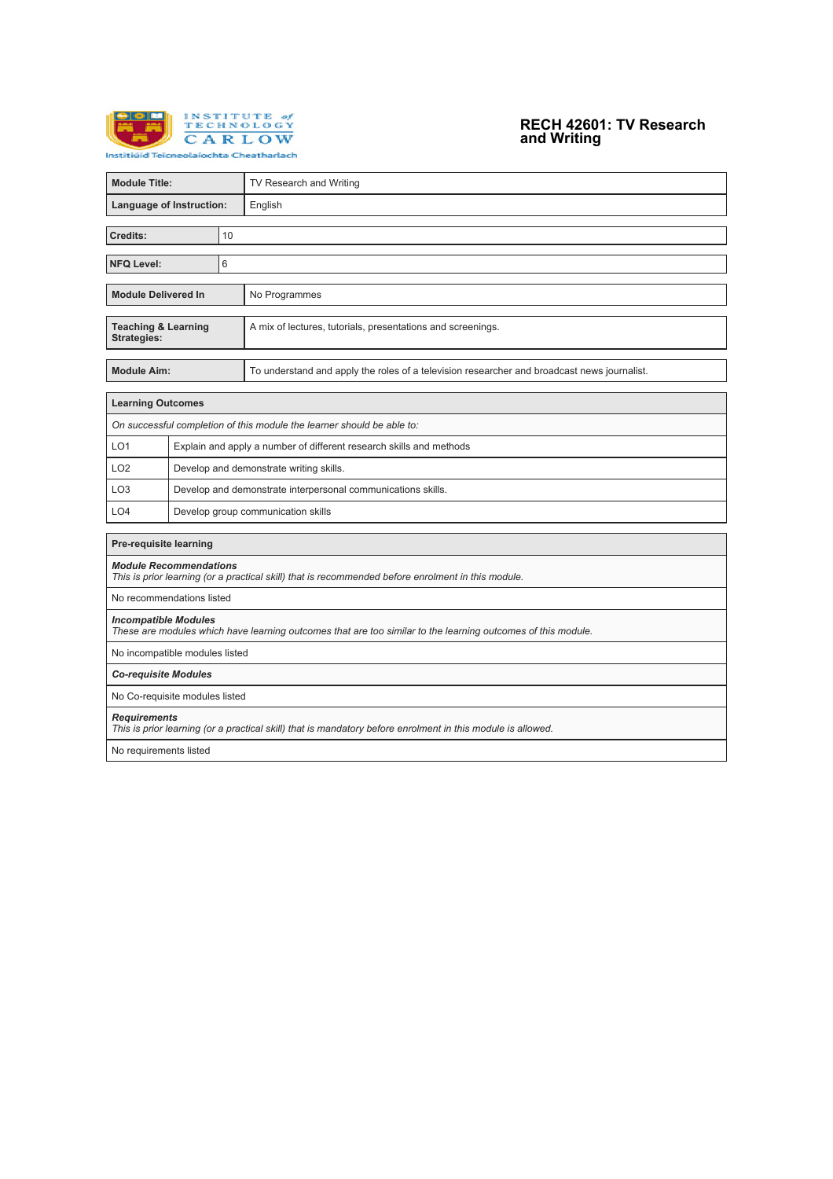

## **RECH 42601: TV Research and Writing**

| <b>Module Title:</b>                                                                                                                        |                                                                     |                                                              | TV Research and Writing                                                                     |  |  |  |
|---------------------------------------------------------------------------------------------------------------------------------------------|---------------------------------------------------------------------|--------------------------------------------------------------|---------------------------------------------------------------------------------------------|--|--|--|
| Language of Instruction:                                                                                                                    |                                                                     |                                                              | English                                                                                     |  |  |  |
|                                                                                                                                             |                                                                     |                                                              |                                                                                             |  |  |  |
| Credits:<br>10                                                                                                                              |                                                                     |                                                              |                                                                                             |  |  |  |
| <b>NFQ Level:</b><br>6                                                                                                                      |                                                                     |                                                              |                                                                                             |  |  |  |
|                                                                                                                                             |                                                                     |                                                              |                                                                                             |  |  |  |
| <b>Module Delivered In</b>                                                                                                                  |                                                                     |                                                              | No Programmes                                                                               |  |  |  |
| <b>Teaching &amp; Learning</b><br><b>Strategies:</b>                                                                                        |                                                                     |                                                              | A mix of lectures, tutorials, presentations and screenings.                                 |  |  |  |
| <b>Module Aim:</b>                                                                                                                          |                                                                     |                                                              | To understand and apply the roles of a television researcher and broadcast news journalist. |  |  |  |
| <b>Learning Outcomes</b>                                                                                                                    |                                                                     |                                                              |                                                                                             |  |  |  |
|                                                                                                                                             |                                                                     |                                                              | On successful completion of this module the learner should be able to:                      |  |  |  |
| LO <sub>1</sub>                                                                                                                             | Explain and apply a number of different research skills and methods |                                                              |                                                                                             |  |  |  |
| LO <sub>2</sub>                                                                                                                             |                                                                     | Develop and demonstrate writing skills.                      |                                                                                             |  |  |  |
| LO <sub>3</sub>                                                                                                                             |                                                                     | Develop and demonstrate interpersonal communications skills. |                                                                                             |  |  |  |
| LO <sub>4</sub>                                                                                                                             | Develop group communication skills                                  |                                                              |                                                                                             |  |  |  |
| Pre-requisite learning                                                                                                                      |                                                                     |                                                              |                                                                                             |  |  |  |
| <b>Module Recommendations</b><br>This is prior learning (or a practical skill) that is recommended before enrolment in this module.         |                                                                     |                                                              |                                                                                             |  |  |  |
| No recommendations listed                                                                                                                   |                                                                     |                                                              |                                                                                             |  |  |  |
| <b>Incompatible Modules</b><br>These are modules which have learning outcomes that are too similar to the learning outcomes of this module. |                                                                     |                                                              |                                                                                             |  |  |  |
| No incompatible modules listed                                                                                                              |                                                                     |                                                              |                                                                                             |  |  |  |
| <b>Co-requisite Modules</b>                                                                                                                 |                                                                     |                                                              |                                                                                             |  |  |  |
| No Co-requisite modules listed                                                                                                              |                                                                     |                                                              |                                                                                             |  |  |  |
| <b>Requirements</b><br>This is prior learning (or a practical skill) that is mandatory before enrolment in this module is allowed.          |                                                                     |                                                              |                                                                                             |  |  |  |
| No requirements listed                                                                                                                      |                                                                     |                                                              |                                                                                             |  |  |  |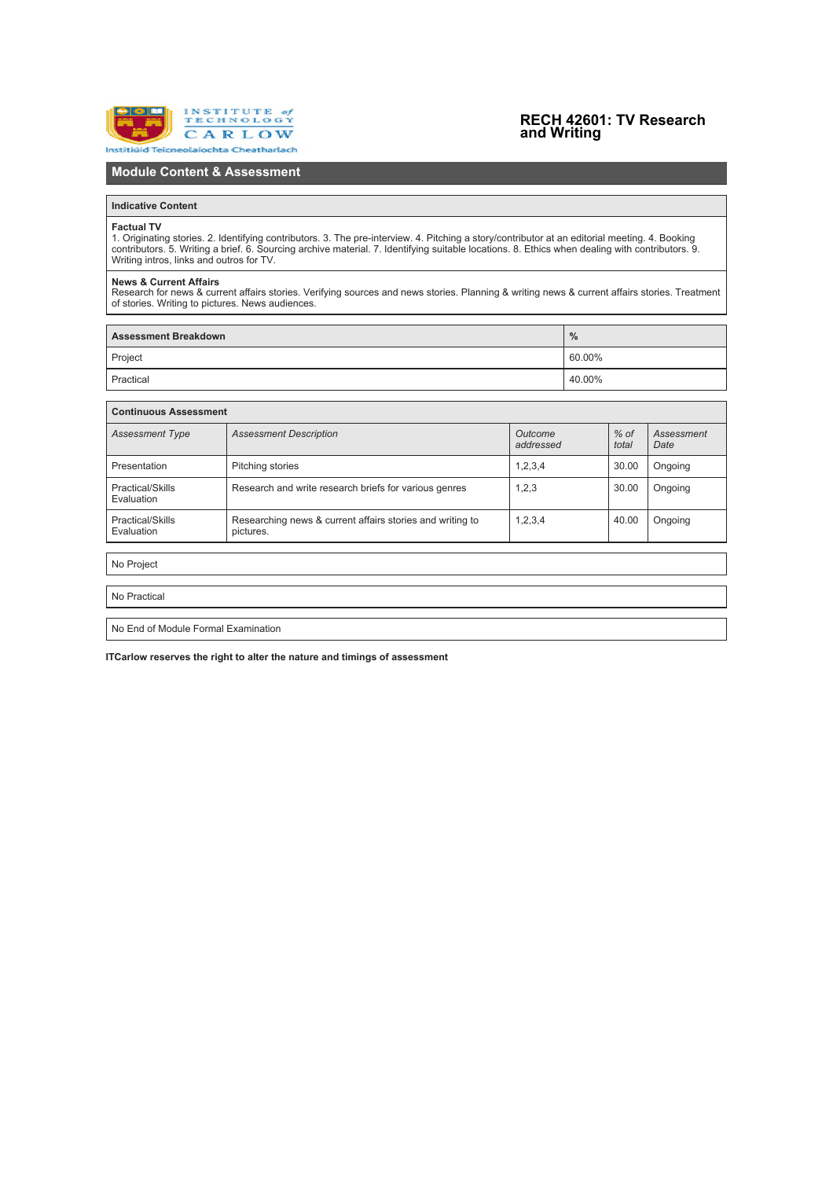

## **RECH 42601: TV Research and Writing**

## **Module Content & Assessment**

### **Indicative Content**

#### **Factual TV**

1. Originating stories. 2. Identifying contributors. 3. The pre-interview. 4. Pitching a story/contributor at an editorial meeting. 4. Booking<br>contributors. 5. Writing a brief. 6. Sourcing archive material. 7. Identifying

**News & Current Affairs**<br>Research for news & current affairs stories. Verifying sources and news stories. Planning & writing news & current affairs stories. Treatment<br>of stories. Writing to pictures. News audiences.

| <b>Assessment Breakdown</b> | $\frac{0}{0}$ |
|-----------------------------|---------------|
| Project                     | $160.00\%$    |
| Practical                   | 40.00%        |

| <b>Continuous Assessment</b>                                           |                      |                 |                    |  |  |  |  |
|------------------------------------------------------------------------|----------------------|-----------------|--------------------|--|--|--|--|
| <b>Assessment Description</b>                                          | Outcome<br>addressed | $%$ of<br>total | Assessment<br>Date |  |  |  |  |
| Pitching stories                                                       | 1,2,3,4              | 30.00           | Ongoing            |  |  |  |  |
| Research and write research briefs for various genres                  | 1,2,3                | 30.00           | Ongoing            |  |  |  |  |
| Researching news & current affairs stories and writing to<br>pictures. | 1,2,3,4              | 40.00           | Ongoing            |  |  |  |  |
|                                                                        |                      |                 |                    |  |  |  |  |
|                                                                        |                      |                 |                    |  |  |  |  |
|                                                                        |                      |                 |                    |  |  |  |  |
|                                                                        |                      |                 |                    |  |  |  |  |
|                                                                        |                      |                 |                    |  |  |  |  |

No End of Module Formal Examination

**ITCarlow reserves the right to alter the nature and timings of assessment**